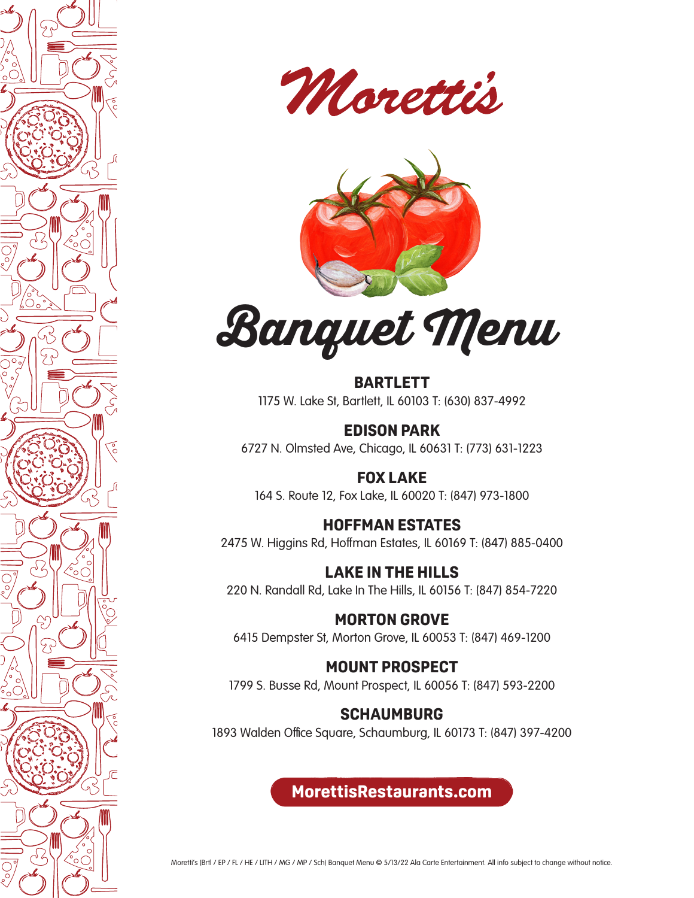







**BARTLETT** 1175 W. Lake St, Bartlett, IL 60103 T: (630) 837-4992

**EDISON PARK** 6727 N. Olmsted Ave, Chicago, IL 60631 T: (773) 631-1223

**FOX LAKE** 164 S. Route 12, Fox Lake, IL 60020 T: (847) 973-1800

**HOFFMAN ESTATES** 2475 W. Higgins Rd, Hoffman Estates, IL 60169 T: (847) 885-0400

**LAKE IN THE HILLS** 220 N. Randall Rd, Lake In The Hills, IL 60156 T: (847) 854-7220

**MORTON GROVE** 6415 Dempster St, Morton Grove, IL 60053 T: (847) 469-1200

**MOUNT PROSPECT**

1799 S. Busse Rd, Mount Prospect, IL 60056 T: (847) 593-2200

# **SCHAUMBURG**

1893 Walden Office Square, Schaumburg, IL 60173 T: (847) 397-4200

**MorettisRestaurants.com**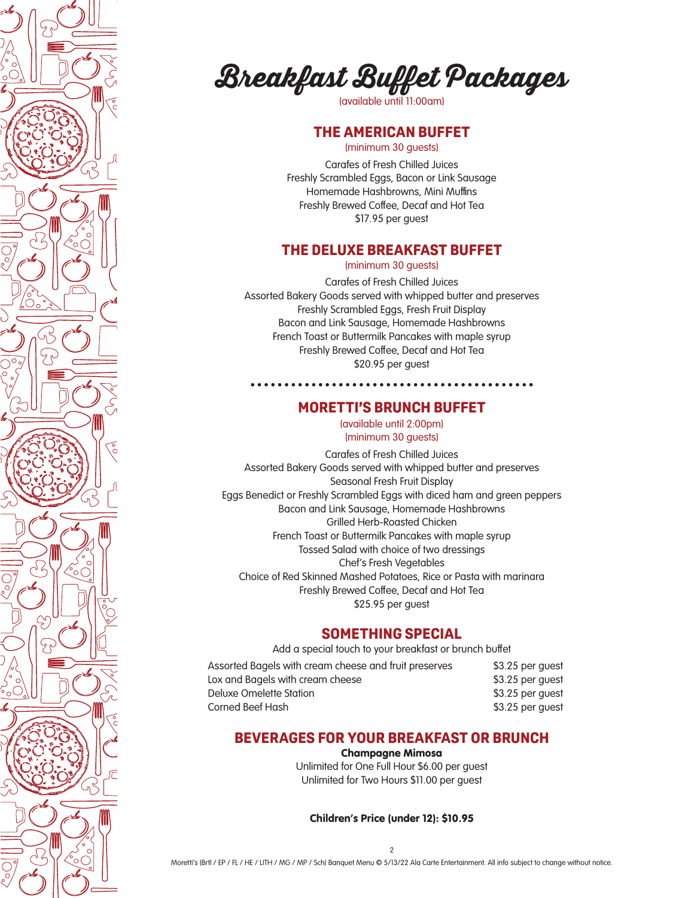



(available until 11:00am)

## **THE AMERICAN BUFFET**

(minimum 30 guests)

Carafes of Fresh Chilled Juices Freshly Scrambled Eggs, Bacon or Link Sausage Homemade Hashbrowns, Mini Muffins Freshly Brewed Coffee, Decaf and Hot Tea \$17.95 per guest

### **THE DELUXE BREAKFAST BUFFET**

(minimum 30 guests)

Carafes of Fresh Chilled Juices Assorted Bakery Goods served with whipped butter and preserves Freshly Scrambled Eggs, Fresh Fruit Display Bacon and Link Sausage, Homemade Hashbrowns French Toast or Buttermilk Pancakes with maple syrup Freshly Brewed Coffee, Decaf and Hot Tea \$20.95 per guest

#### **MORETTI'S BRUNCH BUFFET**

(available until 2:00pm) (minimum 30 guests)

Carafes of Fresh Chilled Juices Assorted Bakery Goods served with whipped butter and preserves Seasonal Fresh Fruit Display Eggs Benedict or Freshly Scrambled Eggs with diced ham and green peppers Bacon and Link Sausage, Homemade Hashbrowns Grilled Herb-Roasted Chicken French Toast or Buttermilk Pancakes with maple syrup Tossed Salad with choice of two dressings Chef's Fresh Vegetables Choice of Red Skinned Mashed Potatoes, Rice or Pasta with marinara Freshly Brewed Coffee, Decaf and Hot Tea \$25.95 per guest

#### **SOMETHING SPECIAL**

Add a special touch to your breakfast or brunch buffet

| Assorted Bagels with cream cheese and fruit preserves | \$3.25 per quest |
|-------------------------------------------------------|------------------|
| Lox and Bagels with cream cheese                      | \$3.25 per quest |
| Deluxe Omelette Station                               | \$3.25 per quest |
| Corned Beef Hash                                      | \$3.25 per guest |

## **BEVERAGES FOR YOUR BREAKFAST OR BRUNCH**

#### Champagne Mimosa

Unlimited for One Full Hour \$6.00 per guest Unlimited for Two Hours \$11.00 per guest

Children's Price (under 12): \$10.95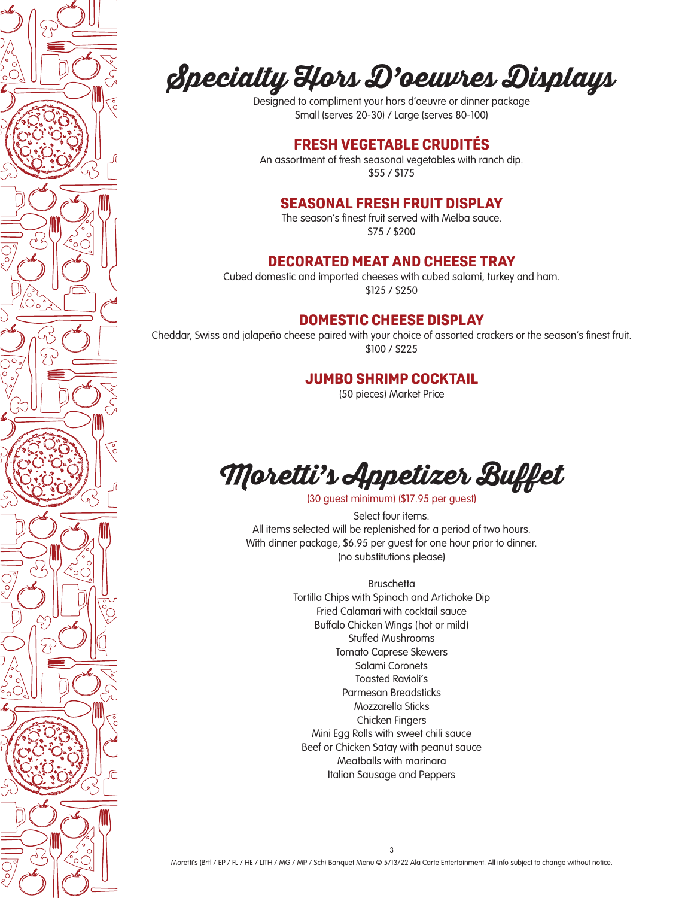

# **Specialty Hors D'oeuvres Displays**

Designed to compliment your hors d'oeuvre or dinner package Small (serves 20-30) / Large (serves 80-100)

## **FRESH VEGETABLE CRUDITÉS**

An assortment of fresh seasonal vegetables with ranch dip. \$55 / \$175

## **SEASONAL FRESH FRUIT DISPLAY**

The season's finest fruit served with Melba sauce. \$75 / \$200

#### **DECORATED MEAT AND CHEESE TRAY**

Cubed domestic and imported cheeses with cubed salami, turkey and ham. \$125 / \$250

## **DOMESTIC CHEESE DISPLAY**

Cheddar, Swiss and jalapeño cheese paired with your choice of assorted crackers or the season's finest fruit. \$100 / \$225

#### **JUMBO SHRIMP COCKTAIL**

(50 pieces) Market Price



(30 guest minimum) (\$17.95 per guest)

Select four items. All items selected will be replenished for a period of two hours. With dinner package, \$6.95 per guest for one hour prior to dinner. (no substitutions please)

> **Bruschetta** Tortilla Chips with Spinach and Artichoke Dip Fried Calamari with cocktail sauce Buffalo Chicken Wings (hot or mild) Stuffed Mushrooms Tomato Caprese Skewers Salami Coronets Toasted Ravioli's Parmesan Breadsticks Mozzarella Sticks Chicken Fingers Mini Egg Rolls with sweet chili sauce Beef or Chicken Satay with peanut sauce Meatballs with marinara Italian Sausage and Peppers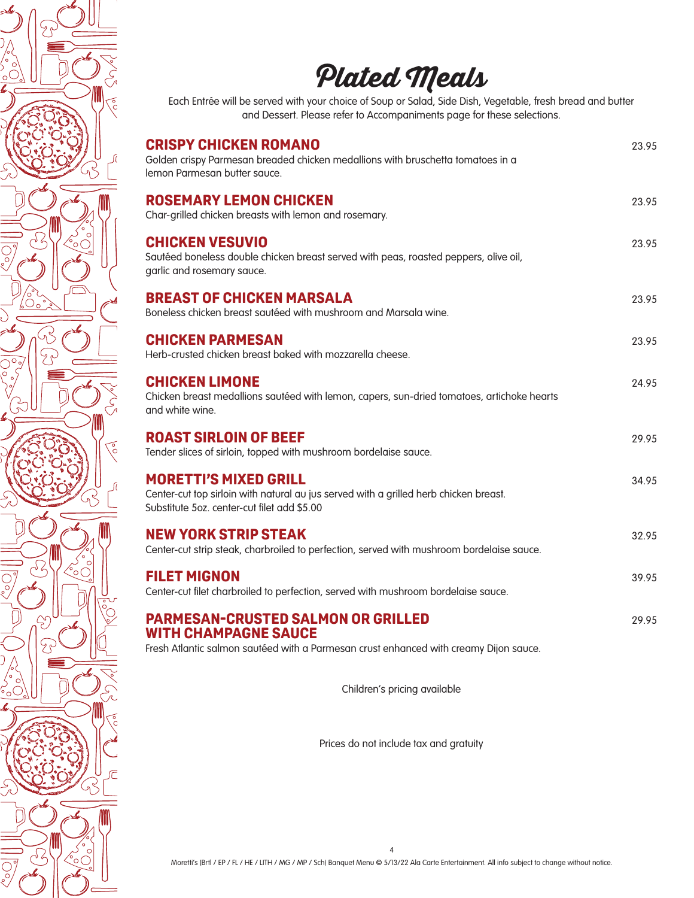

Prices do not include tax and gratuity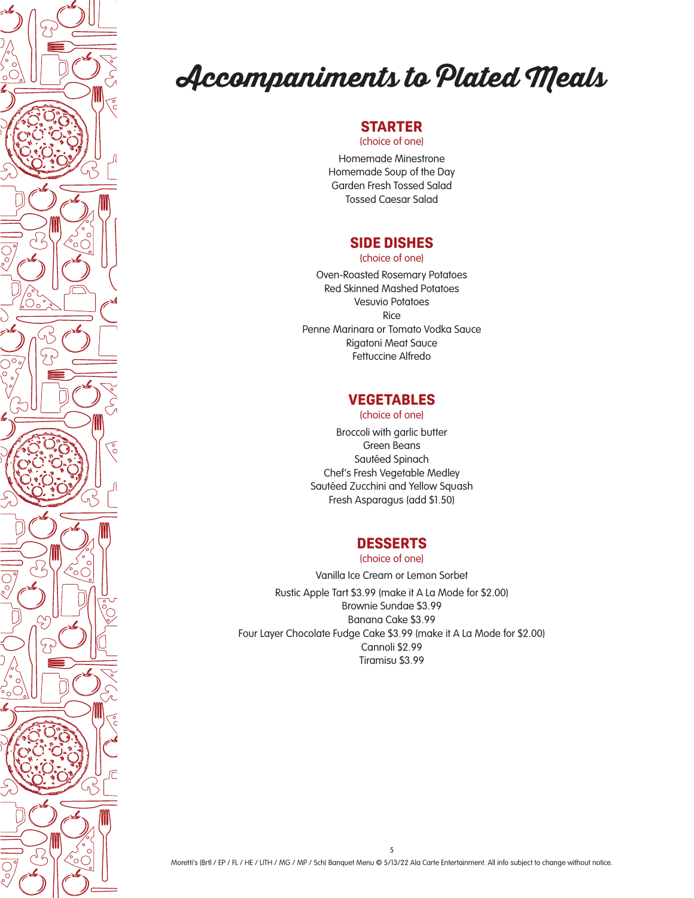

# **Accompaniments to Plated Meals**

# **STARTER**

(choice of one)

Homemade Minestrone Homemade Soup of the Day Garden Fresh Tossed Salad Tossed Caesar Salad

## **SIDE DISHES**

(choice of one)

Oven-Roasted Rosemary Potatoes Red Skinned Mashed Potatoes Vesuvio Potatoes Rice Penne Marinara or Tomato Vodka Sauce Rigatoni Meat Sauce Fettuccine Alfredo

# **VEGETABLES**

(choice of one)

Broccoli with garlic butter Green Beans Sautéed Spinach Chef's Fresh Vegetable Medley Sautéed Zucchini and Yellow Squash Fresh Asparagus (add \$1.50)

## **DESSERTS**

(choice of one)

Vanilla Ice Cream or Lemon Sorbet Rustic Apple Tart \$3.99 (make it A La Mode for \$2.00) Brownie Sundae \$3.99 Banana Cake \$3.99 Four Layer Chocolate Fudge Cake \$3.99 (make it A La Mode for \$2.00) Cannoli \$2.99 Tiramisu \$3.99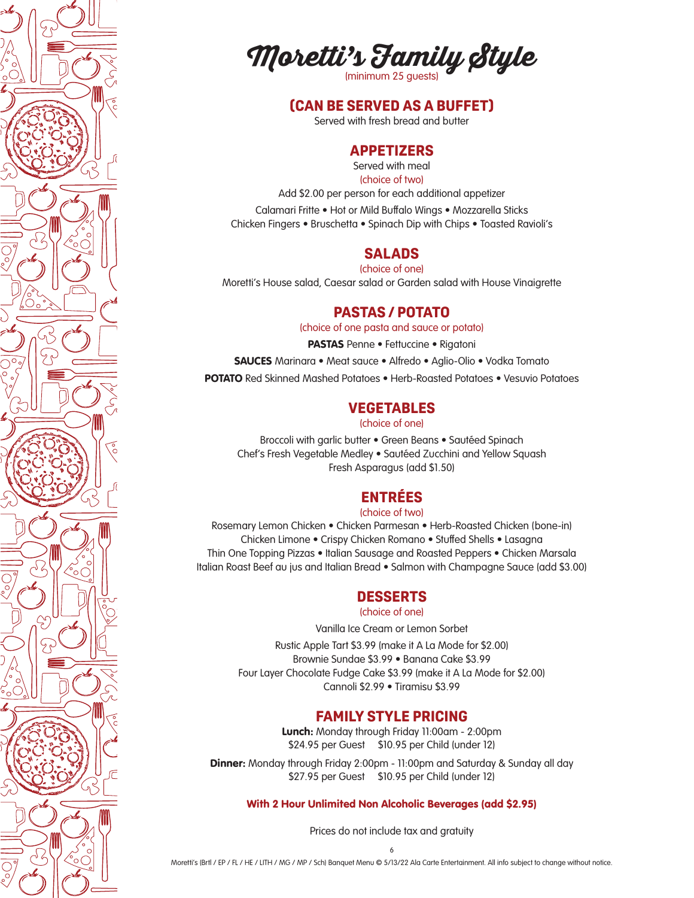



#### **(CAN BE SERVED AS A BUFFET)**

Served with fresh bread and butter

## **APPETIZERS**

Served with meal (choice of two)

Add \$2.00 per person for each additional appetizer

Calamari Fritte • Hot or Mild Buffalo Wings • Mozzarella Sticks Chicken Fingers • Bruschetta • Spinach Dip with Chips • Toasted Ravioli's

#### **SALADS**

(choice of one)

Moretti's House salad, Caesar salad or Garden salad with House Vinaigrette

## **PASTAS / POTATO**

(choice of one pasta and sauce or potato)

PASTAS Penne • Fettuccine • Rigatoni

SAUCES Marinara • Meat sauce • Alfredo • Aglio-Olio • Vodka Tomato

POTATO Red Skinned Mashed Potatoes • Herb-Roasted Potatoes • Vesuvio Potatoes

#### **VEGETABLES**

(choice of one)

Broccoli with garlic butter • Green Beans • Sautéed Spinach Chef's Fresh Vegetable Medley • Sautéed Zucchini and Yellow Squash Fresh Asparagus (add \$1.50)

# **ENTRÉES**

(choice of two)

Rosemary Lemon Chicken • Chicken Parmesan • Herb-Roasted Chicken (bone-in) Chicken Limone • Crispy Chicken Romano • Stuffed Shells • Lasagna Thin One Topping Pizzas • Italian Sausage and Roasted Peppers • Chicken Marsala Italian Roast Beef au jus and Italian Bread • Salmon with Champagne Sauce (add \$3.00)

#### **DESSERTS**

#### (choice of one)

Vanilla Ice Cream or Lemon Sorbet

Rustic Apple Tart \$3.99 (make it A La Mode for \$2.00) Brownie Sundae \$3.99 • Banana Cake \$3.99 Four Layer Chocolate Fudge Cake \$3.99 (make it A La Mode for \$2.00) Cannoli \$2.99 • Tiramisu \$3.99

#### **FAMILY STYLE PRICING**

Lunch: Monday through Friday 11:00am - 2:00pm \$24.95 per Guest \$10.95 per Child (under 12)

**Dinner:** Monday through Friday 2:00pm - 11:00pm and Saturday & Sunday all day \$27.95 per Guest \$10.95 per Child (under 12)

With 2 Hour Unlimited Non Alcoholic Beverages (add \$2.95)

Prices do not include tax and gratuity

6 Moretti's (Brtl / EP / FL / HE / LITH / MG / MP / Sch) Banquet Menu © 5/13/22 Ala Carte Entertainment. All info subject to change without notice.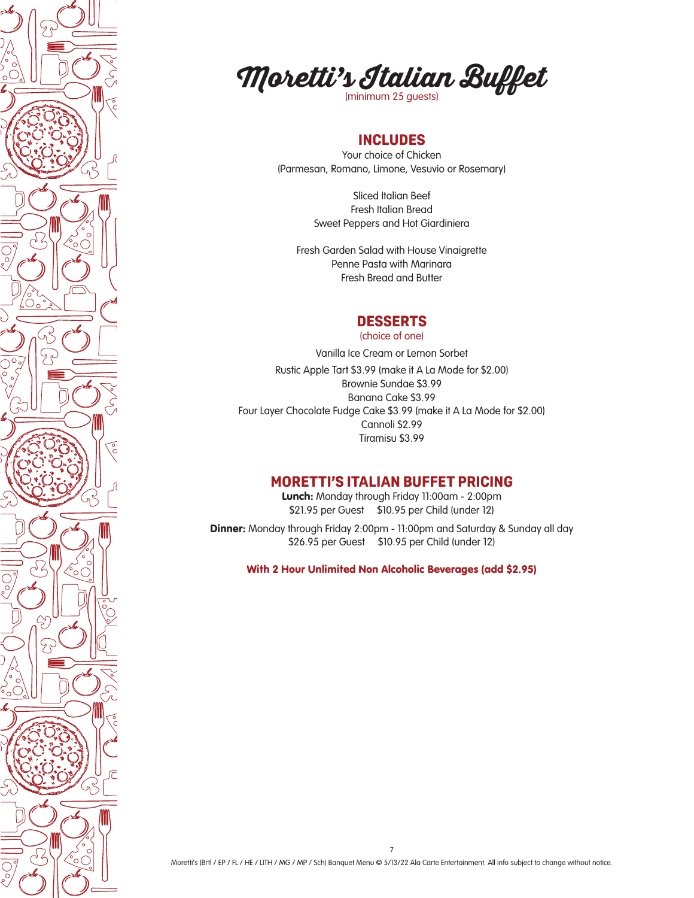



## **INCLUDES**

Your choice of Chicken (Parmesan, Romano, Limone, Vesuvio or Rosemary)

> Sliced Italian Beef Fresh Italian Bread Sweet Peppers and Hot Giardiniera

Fresh Garden Salad with House Vinaigrette Penne Pasta with Marinara Fresh Bread and Butter

#### **DESSERTS**

(choice of one)

Vanilla Ice Cream or Lemon Sorbet Rustic Apple Tart \$3.99 (make it A La Mode for \$2.00) Brownie Sundae \$3.99 Banana Cake \$3.99 Four Layer Chocolate Fudge Cake \$3.99 (make it A La Mode for \$2.00) Cannoli \$2.99 Tiramisu \$3.99

### **MORETTI'S ITALIAN BUFFET PRICING**

Lunch: Monday through Friday 11:00am - 2:00pm \$21.95 per Guest \$10.95 per Child (under 12)

**Dinner:** Monday through Friday 2:00pm - 11:00pm and Saturday & Sunday all day \$26.95 per Guest \$10.95 per Child (under 12)

With 2 Hour Unlimited Non Alcoholic Beverages (add \$2.95)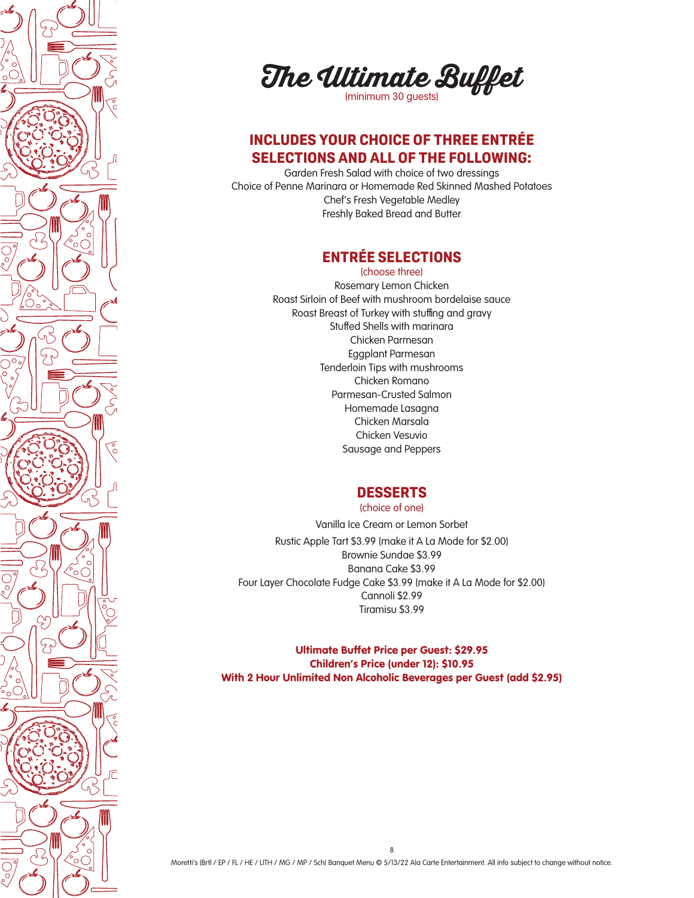

**The Ultimate Buffet** 

## **INCLUDES YOUR CHOICE OF THREE ENTRÉE SELECTIONS AND ALL OF THE FOLLOWING:**

Garden Fresh Salad with choice of two dressings Choice of Penne Marinara or Homemade Red Skinned Mashed Potatoes Chef's Fresh Vegetable Medley Freshly Baked Bread and Butter

# **ENTRÉE SELECTIONS**

(choose three) Rosemary Lemon Chicken Roast Sirloin of Beef with mushroom bordelaise sauce Roast Breast of Turkey with stuffing and gravy Stuffed Shells with marinara Chicken Parmesan Eggplant Parmesan Tenderloin Tips with mushrooms Chicken Romano Parmesan-Crusted Salmon Homemade Lasagna Chicken Marsala Chicken Vesuvio Sausage and Peppers

## **DESSERTS**

(choice of one)

Vanilla Ice Cream or Lemon Sorbet Rustic Apple Tart \$3.99 (make it A La Mode for \$2.00) Brownie Sundae \$3.99 Banana Cake \$3.99 Four Layer Chocolate Fudge Cake \$3.99 (make it A La Mode for \$2.00) Cannoli \$2.99 Tiramisu \$3.99

Ultimate Buffet Price per Guest: \$29.95 Children's Price (under 12): \$10.95 With 2 Hour Unlimited Non Alcoholic Beverages per Guest (add \$2.95)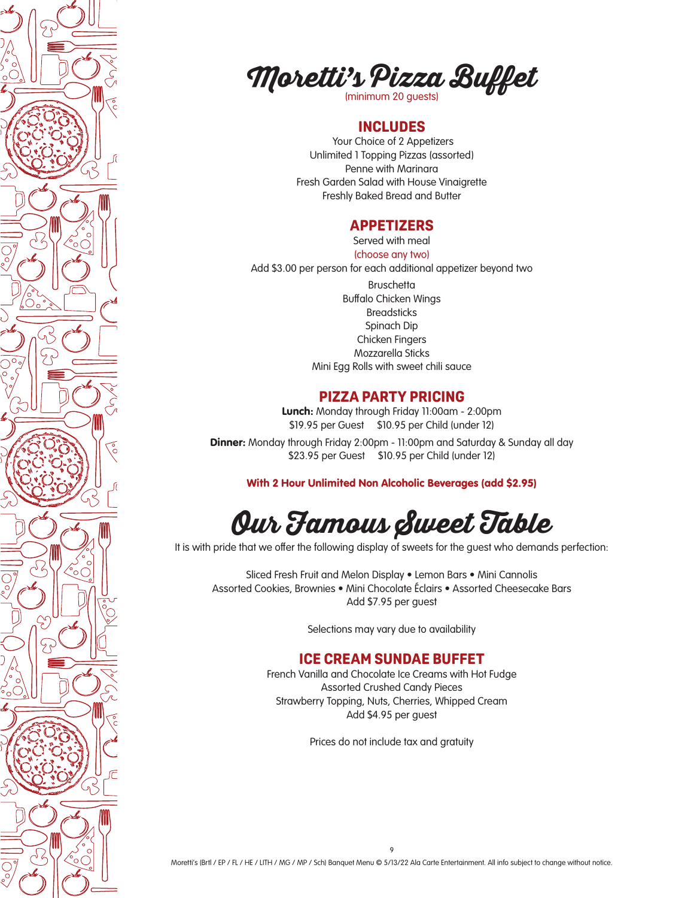



#### **INCLUDES**

 Your Choice of 2 Appetizers Unlimited 1 Topping Pizzas (assorted) Penne with Marinara Fresh Garden Salad with House Vinaigrette Freshly Baked Bread and Butter

#### **APPETIZERS**

Served with meal (choose any two)

Add \$3.00 per person for each additional appetizer beyond two **Bruschetta** Buffalo Chicken Wings **Breadsticks** Spinach Dip Chicken Fingers Mozzarella Sticks Mini Egg Rolls with sweet chili sauce

#### **PIZZA PARTY PRICING**

Lunch: Monday through Friday 11:00am - 2:00pm \$19.95 per Guest \$10.95 per Child (under 12)

**Dinner:** Monday through Friday 2:00pm - 11:00pm and Saturday & Sunday all day \$23.95 per Guest \$10.95 per Child (under 12)

With 2 Hour Unlimited Non Alcoholic Beverages (add \$2.95)

# **Our Famous Sweet Table**

It is with pride that we offer the following display of sweets for the quest who demands perfection:

Sliced Fresh Fruit and Melon Display • Lemon Bars • Mini Cannolis Assorted Cookies, Brownies • Mini Chocolate Éclairs • Assorted Cheesecake Bars Add \$7.95 per guest

Selections may vary due to availability

#### **ICE CREAM SUNDAE BUFFET**

French Vanilla and Chocolate Ice Creams with Hot Fudge Assorted Crushed Candy Pieces Strawberry Topping, Nuts, Cherries, Whipped Cream Add \$4.95 per guest

Prices do not include tax and gratuity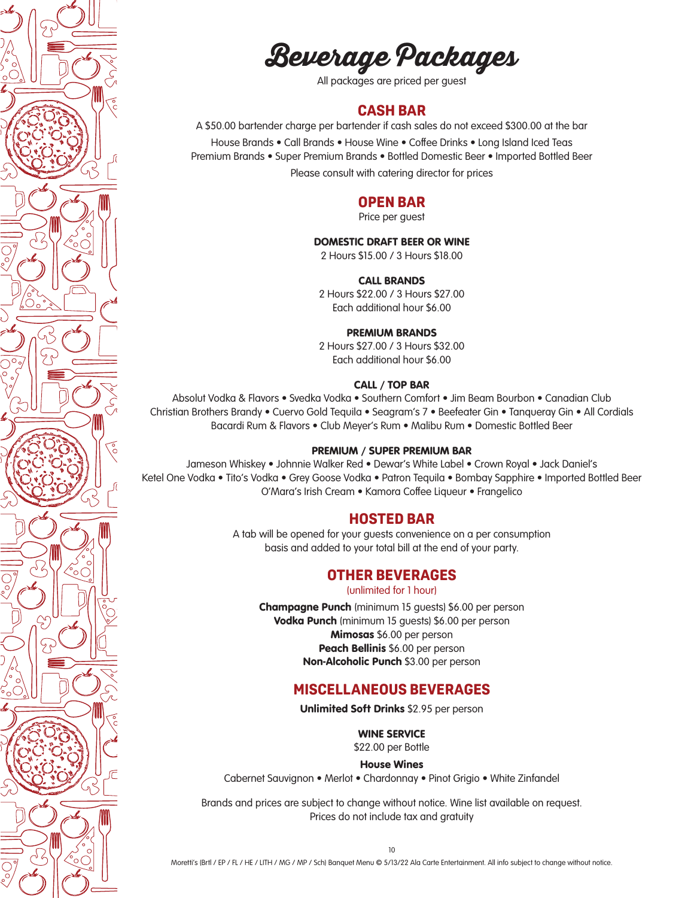**Beverage Packages**

All packages are priced per guest

#### **CASH BAR**

A \$50.00 bartender charge per bartender if cash sales do not exceed \$300.00 at the bar House Brands • Call Brands • House Wine • Coffee Drinks • Long Island Iced Teas Premium Brands • Super Premium Brands • Bottled Domestic Beer • Imported Bottled Beer

Please consult with catering director for prices

#### **OPEN BAR**

Price per guest

#### DOMESTIC DRAFT BEER OR WINE

2 Hours \$15.00 / 3 Hours \$18.00

#### CALL BRANDS

2 Hours \$22.00 / 3 Hours \$27.00 Each additional hour \$6.00

#### PREMIUM BRANDS

2 Hours \$27.00 / 3 Hours \$32.00 Each additional hour \$6.00

#### CALL / TOP BAR

Absolut Vodka & Flavors • Svedka Vodka • Southern Comfort • Jim Beam Bourbon • Canadian Club Christian Brothers Brandy • Cuervo Gold Tequila • Seagram's 7 • Beefeater Gin • Tanqueray Gin • All Cordials Bacardi Rum & Flavors • Club Meyer's Rum • Malibu Rum • Domestic Bottled Beer

#### PREMIUM / SUPER PREMIUM BAR

Jameson Whiskey • Johnnie Walker Red • Dewar's White Label • Crown Royal • Jack Daniel's Ketel One Vodka • Tito's Vodka • Grey Goose Vodka • Patron Tequila • Bombay Sapphire • Imported Bottled Beer O'Mara's Irish Cream • Kamora Coffee Liqueur • Frangelico

#### **HOSTED BAR**

A tab will be opened for your guests convenience on a per consumption basis and added to your total bill at the end of your party.

#### **OTHER BEVERAGES**

(unlimited for 1 hour)

Champagne Punch (minimum 15 guests) \$6.00 per person Vodka Punch (minimum 15 guests) \$6.00 per person Mimosas \$6.00 per person Peach Bellinis \$6.00 per person Non-Alcoholic Punch \$3.00 per person

#### **MISCELLANEOUS BEVERAGES**

Unlimited Soft Drinks \$2.95 per person

WINE SERVICE

\$22.00 per Bottle

House Wines

Cabernet Sauvignon • Merlot • Chardonnay • Pinot Grigio • White Zinfandel

Brands and prices are subject to change without notice. Wine list available on request. Prices do not include tax and gratuity